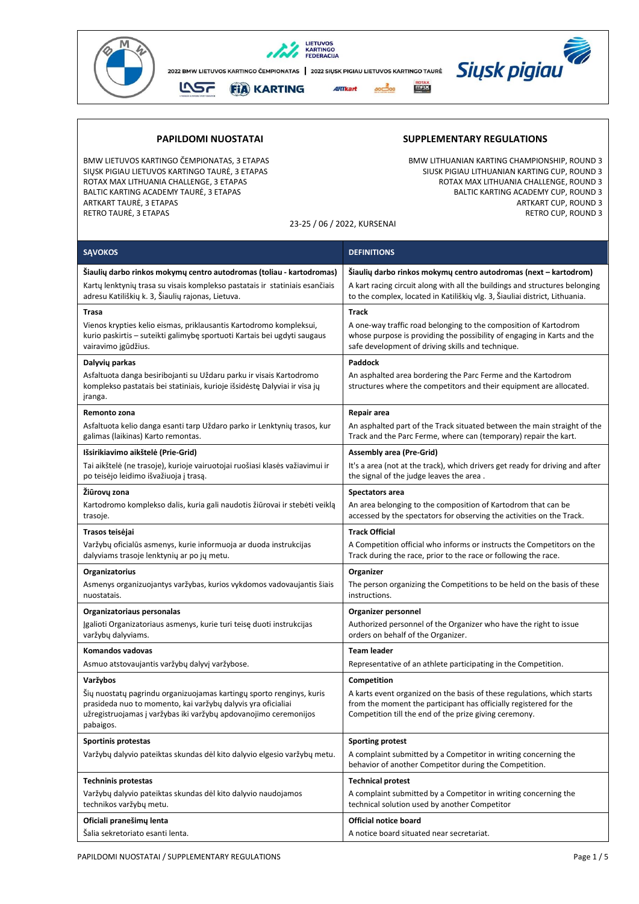

**SĄVOKOS DEFINITIONS** 

BALTIC KARTING ACADEMY TAURĖ, 3 ETAPAS<br>ARTKART TAURĖ, 3 ETAPAS RETRO TAURĖ, 3 ETAPAS RETRO CUP, ROUND 3

## **PAPILDOMI NUOSTATAI SUPPLEMENTARY REGULATIONS**

BMW LIETUVOS KARTINGO ČEMPIONATAS, 3 ETAPAS BMW LITHUANIAN KARTING CHAMPIONSHIP, ROUND 3<br>SIUSK PIGIAU LIETUVOS KARTINGO TAURĖ, 3 ETAPAS SIDSMONATION SIUSK PIGIAU LITHUANIAN KARTING CUP, ROUND 3 SIUSK PIGIAU LITHUANIAN KARTING CUP, ROUND 3<br>ROTAX MAX LITHUANIA CHALLENGE, ROUND 3 ROTAX MAX LITHUANIA CHALLENGE, 3 ETAPAS ROTAX MAX LITHUANIA CHALLENGE, ROUND 3 ARTKART CUP, ROUND 3

23-25 / 06 / 2022, KURSENAI

| Šiaulių darbo rinkos mokymų centro autodromas (toliau - kartodromas)                                                                                                                                                  | Šiaulių darbo rinkos mokymų centro autodromas (next – kartodrom)                                                                                                                                       |  |  |
|-----------------------------------------------------------------------------------------------------------------------------------------------------------------------------------------------------------------------|--------------------------------------------------------------------------------------------------------------------------------------------------------------------------------------------------------|--|--|
| Kartų lenktynių trasa su visais komplekso pastatais ir statiniais esančiais<br>adresu Katiliškių k. 3, Šiaulių rajonas, Lietuva.                                                                                      | A kart racing circuit along with all the buildings and structures belonging<br>to the complex, located in Katiliškių vlg. 3, Šiauliai district, Lithuania.                                             |  |  |
| <b>Trasa</b>                                                                                                                                                                                                          | Track                                                                                                                                                                                                  |  |  |
| Vienos krypties kelio eismas, priklausantis Kartodromo kompleksui,<br>kurio paskirtis - suteikti galimybę sportuoti Kartais bei ugdyti saugaus<br>vairavimo įgūdžius.                                                 | A one-way traffic road belonging to the composition of Kartodrom<br>whose purpose is providing the possibility of engaging in Karts and the<br>safe development of driving skills and technique.       |  |  |
| Dalyvių parkas                                                                                                                                                                                                        | Paddock                                                                                                                                                                                                |  |  |
| Asfaltuota danga besiribojanti su Uždaru parku ir visais Kartodromo<br>komplekso pastatais bei statiniais, kurioje išsidėstę Dalyviai ir visa jų<br>įranga.                                                           | An asphalted area bordering the Parc Ferme and the Kartodrom<br>structures where the competitors and their equipment are allocated.                                                                    |  |  |
| Remonto zona                                                                                                                                                                                                          | Repair area                                                                                                                                                                                            |  |  |
| Asfaltuota kelio danga esanti tarp Uždaro parko ir Lenktynių trasos, kur<br>galimas (laikinas) Karto remontas.                                                                                                        | An asphalted part of the Track situated between the main straight of the<br>Track and the Parc Ferme, where can (temporary) repair the kart.                                                           |  |  |
| Išsirikiavimo aikštelė (Prie-Grid)                                                                                                                                                                                    | <b>Assembly area (Pre-Grid)</b>                                                                                                                                                                        |  |  |
| Tai aikštelė (ne trasoje), kurioje vairuotojai ruošiasi klasės važiavimui ir<br>po teisėjo leidimo išvažiuoja į trasą.                                                                                                | It's a area (not at the track), which drivers get ready for driving and after<br>the signal of the judge leaves the area.                                                                              |  |  |
| Žiūrovų zona                                                                                                                                                                                                          | Spectators area                                                                                                                                                                                        |  |  |
| Kartodromo komplekso dalis, kuria gali naudotis žiūrovai ir stebėti veiklą<br>trasoje.                                                                                                                                | An area belonging to the composition of Kartodrom that can be<br>accessed by the spectators for observing the activities on the Track.                                                                 |  |  |
| Trasos teisėjai                                                                                                                                                                                                       | <b>Track Official</b>                                                                                                                                                                                  |  |  |
| Varžybų oficialūs asmenys, kurie informuoja ar duoda instrukcijas<br>dalyviams trasoje lenktynių ar po jų metu.                                                                                                       | A Competition official who informs or instructs the Competitors on the<br>Track during the race, prior to the race or following the race.                                                              |  |  |
| Organizatorius                                                                                                                                                                                                        | Organizer                                                                                                                                                                                              |  |  |
| Asmenys organizuojantys varžybas, kurios vykdomos vadovaujantis šiais<br>nuostatais.                                                                                                                                  | The person organizing the Competitions to be held on the basis of these<br>instructions.                                                                                                               |  |  |
| Organizatoriaus personalas                                                                                                                                                                                            | Organizer personnel                                                                                                                                                                                    |  |  |
| Įgalioti Organizatoriaus asmenys, kurie turi teisę duoti instrukcijas<br>varžybų dalyviams.                                                                                                                           | Authorized personnel of the Organizer who have the right to issue<br>orders on behalf of the Organizer.                                                                                                |  |  |
| Komandos vadovas                                                                                                                                                                                                      | <b>Team leader</b>                                                                                                                                                                                     |  |  |
| Asmuo atstovaujantis varžybų dalyvį varžybose.                                                                                                                                                                        | Representative of an athlete participating in the Competition.                                                                                                                                         |  |  |
| Varžybos                                                                                                                                                                                                              | Competition                                                                                                                                                                                            |  |  |
| Šių nuostatų pagrindu organizuojamas kartingų sporto renginys, kuris<br>prasideda nuo to momento, kai varžybų dalyvis yra oficialiai<br>užregistruojamas į varžybas iki varžybų apdovanojimo ceremonijos<br>pabaigos. | A karts event organized on the basis of these regulations, which starts<br>from the moment the participant has officially registered for the<br>Competition till the end of the prize giving ceremony. |  |  |
| Sportinis protestas                                                                                                                                                                                                   | <b>Sporting protest</b>                                                                                                                                                                                |  |  |
| Varžybų dalyvio pateiktas skundas dėl kito dalyvio elgesio varžybų metu.                                                                                                                                              | A complaint submitted by a Competitor in writing concerning the<br>behavior of another Competitor during the Competition.                                                                              |  |  |
| <b>Techninis protestas</b>                                                                                                                                                                                            | <b>Technical protest</b>                                                                                                                                                                               |  |  |
| Varžybų dalyvio pateiktas skundas dėl kito dalyvio naudojamos<br>technikos varžybų metu.                                                                                                                              | A complaint submitted by a Competitor in writing concerning the<br>technical solution used by another Competitor                                                                                       |  |  |

**Official notice board** 

A notice board situated near secretariat.

**Oficiali pranešimų lenta** Šalia sekretoriato esanti lenta.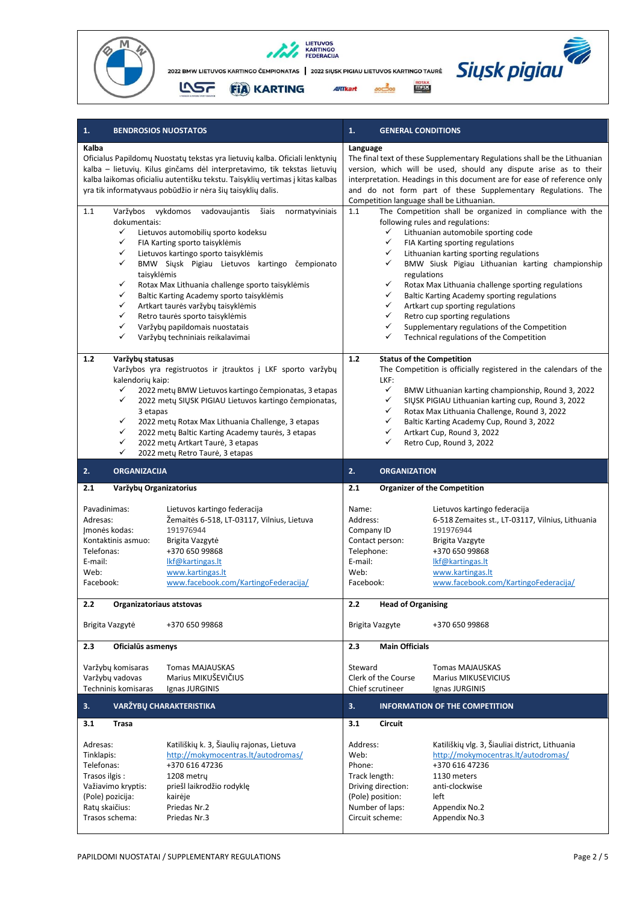





| 1.                                                                                                                                                                                                                                                                                                                                                                                                                                                                                                                                                                         | 1.                                                                                                                                                                                                                                                                                                                                                                                                                                                                                                                                                                                                                                           |  |  |
|----------------------------------------------------------------------------------------------------------------------------------------------------------------------------------------------------------------------------------------------------------------------------------------------------------------------------------------------------------------------------------------------------------------------------------------------------------------------------------------------------------------------------------------------------------------------------|----------------------------------------------------------------------------------------------------------------------------------------------------------------------------------------------------------------------------------------------------------------------------------------------------------------------------------------------------------------------------------------------------------------------------------------------------------------------------------------------------------------------------------------------------------------------------------------------------------------------------------------------|--|--|
| <b>BENDROSIOS NUOSTATOS</b>                                                                                                                                                                                                                                                                                                                                                                                                                                                                                                                                                | <b>GENERAL CONDITIONS</b>                                                                                                                                                                                                                                                                                                                                                                                                                                                                                                                                                                                                                    |  |  |
| Kalba<br>Oficialus Papildomų Nuostatų tekstas yra lietuvių kalba. Oficiali lenktynių<br>kalba – lietuvių. Kilus ginčams dėl interpretavimo, tik tekstas lietuvių<br>kalba laikomas oficialiu autentišku tekstu. Taisyklių vertimas į kitas kalbas<br>yra tik informatyvaus pobūdžio ir nėra šių taisyklių dalis.                                                                                                                                                                                                                                                           | Language<br>The final text of these Supplementary Regulations shall be the Lithuanian<br>version, which will be used, should any dispute arise as to their<br>interpretation. Headings in this document are for ease of reference only<br>and do not form part of these Supplementary Regulations. The<br>Competition language shall be Lithuanian.                                                                                                                                                                                                                                                                                          |  |  |
| Varžybos vykdomos<br>1.1<br>vadovaujantis<br>šiais<br>normatyviniais<br>dokumentais:<br>✓<br>Lietuvos automobilių sporto kodeksu<br>✓<br>FIA Karting sporto taisyklėmis<br>✓<br>Lietuvos kartingo sporto taisyklėmis<br>✓<br>BMW Siysk Pigiau Lietuvos kartingo<br>čempionato<br>taisyklėmis<br>✓<br>Rotax Max Lithuania challenge sporto taisyklėmis<br>✓<br>Baltic Karting Academy sporto taisyklėmis<br>✓<br>Artkart taurės varžybų taisyklėmis<br>✓<br>Retro taurės sporto taisyklėmis<br>✓<br>Varžybų papildomais nuostatais<br>✓<br>Varžybų techniniais reikalavimai | The Competition shall be organized in compliance with the<br>1.1<br>following rules and regulations:<br>$\checkmark$<br>Lithuanian automobile sporting code<br>✓<br>FIA Karting sporting regulations<br>✓<br>Lithuanian karting sporting regulations<br>✓<br>BMW Siusk Pigiau Lithuanian karting championship<br>regulations<br>Rotax Max Lithuania challenge sporting regulations<br>✓<br>✓<br>Baltic Karting Academy sporting regulations<br>✓<br>Artkart cup sporting regulations<br>✓<br>Retro cup sporting regulations<br>$\checkmark$<br>Supplementary regulations of the Competition<br>✓<br>Technical regulations of the Competition |  |  |
| 1.2<br>Varžybų statusas<br>Varžybos yra registruotos ir įtrauktos į LKF sporto varžybų<br>kalendorių kaip:<br>2022 metų BMW Lietuvos kartingo čempionatas, 3 etapas<br>✓<br>$\checkmark$<br>2022 metų SIUSK PIGIAU Lietuvos kartingo čempionatas,<br>3 etapas<br>✓<br>2022 mety Rotax Max Lithuania Challenge, 3 etapas<br>$\checkmark$<br>2022 mety Baltic Karting Academy taures, 3 etapas<br>✓<br>2022 mety Artkart Taurė, 3 etapas<br>✓<br>2022 metų Retro Taurė, 3 etapas                                                                                             | <b>Status of the Competition</b><br>1.2<br>The Competition is officially registered in the calendars of the<br>LKF:<br>✓<br>BMW Lithuanian karting championship, Round 3, 2022<br>$\checkmark$<br>SIŲSK PIGIAU Lithuanian karting cup, Round 3, 2022<br>✓<br>Rotax Max Lithuania Challenge, Round 3, 2022<br>✓<br>Baltic Karting Academy Cup, Round 3, 2022<br>✓<br>Artkart Cup, Round 3, 2022<br>✓<br>Retro Cup, Round 3, 2022                                                                                                                                                                                                              |  |  |
| 2.                                                                                                                                                                                                                                                                                                                                                                                                                                                                                                                                                                         | 2.                                                                                                                                                                                                                                                                                                                                                                                                                                                                                                                                                                                                                                           |  |  |
| <b>ORGANIZACIJA</b>                                                                                                                                                                                                                                                                                                                                                                                                                                                                                                                                                        | <b>ORGANIZATION</b>                                                                                                                                                                                                                                                                                                                                                                                                                                                                                                                                                                                                                          |  |  |
| Varžybų Organizatorius                                                                                                                                                                                                                                                                                                                                                                                                                                                                                                                                                     | 2.1                                                                                                                                                                                                                                                                                                                                                                                                                                                                                                                                                                                                                                          |  |  |
| 2.1                                                                                                                                                                                                                                                                                                                                                                                                                                                                                                                                                                        | <b>Organizer of the Competition</b>                                                                                                                                                                                                                                                                                                                                                                                                                                                                                                                                                                                                          |  |  |
| Pavadinimas:                                                                                                                                                                                                                                                                                                                                                                                                                                                                                                                                                               | Lietuvos kartingo federacija                                                                                                                                                                                                                                                                                                                                                                                                                                                                                                                                                                                                                 |  |  |
| Lietuvos kartingo federacija                                                                                                                                                                                                                                                                                                                                                                                                                                                                                                                                               | Name:                                                                                                                                                                                                                                                                                                                                                                                                                                                                                                                                                                                                                                        |  |  |
| Adresas:                                                                                                                                                                                                                                                                                                                                                                                                                                                                                                                                                                   | Address:                                                                                                                                                                                                                                                                                                                                                                                                                                                                                                                                                                                                                                     |  |  |
| Žemaitės 6-518, LT-03117, Vilnius, Lietuva                                                                                                                                                                                                                                                                                                                                                                                                                                                                                                                                 | 6-518 Zemaites st., LT-03117, Vilnius, Lithuania                                                                                                                                                                                                                                                                                                                                                                                                                                                                                                                                                                                             |  |  |
| Imonės kodas:                                                                                                                                                                                                                                                                                                                                                                                                                                                                                                                                                              | 191976944                                                                                                                                                                                                                                                                                                                                                                                                                                                                                                                                                                                                                                    |  |  |
| 191976944                                                                                                                                                                                                                                                                                                                                                                                                                                                                                                                                                                  | Company ID                                                                                                                                                                                                                                                                                                                                                                                                                                                                                                                                                                                                                                   |  |  |
| Kontaktinis asmuo:                                                                                                                                                                                                                                                                                                                                                                                                                                                                                                                                                         | Contact person:                                                                                                                                                                                                                                                                                                                                                                                                                                                                                                                                                                                                                              |  |  |
| Brigita Vazgytė                                                                                                                                                                                                                                                                                                                                                                                                                                                                                                                                                            | Brigita Vazgyte                                                                                                                                                                                                                                                                                                                                                                                                                                                                                                                                                                                                                              |  |  |
| Telefonas:                                                                                                                                                                                                                                                                                                                                                                                                                                                                                                                                                                 | Telephone:                                                                                                                                                                                                                                                                                                                                                                                                                                                                                                                                                                                                                                   |  |  |
| +370 650 99868                                                                                                                                                                                                                                                                                                                                                                                                                                                                                                                                                             | +370 650 99868                                                                                                                                                                                                                                                                                                                                                                                                                                                                                                                                                                                                                               |  |  |
| E-mail:                                                                                                                                                                                                                                                                                                                                                                                                                                                                                                                                                                    | E-mail:                                                                                                                                                                                                                                                                                                                                                                                                                                                                                                                                                                                                                                      |  |  |
| Ikf@kartingas.lt                                                                                                                                                                                                                                                                                                                                                                                                                                                                                                                                                           | Ikf@kartingas.lt                                                                                                                                                                                                                                                                                                                                                                                                                                                                                                                                                                                                                             |  |  |
| Web:                                                                                                                                                                                                                                                                                                                                                                                                                                                                                                                                                                       | Web:                                                                                                                                                                                                                                                                                                                                                                                                                                                                                                                                                                                                                                         |  |  |
| www.kartingas.lt                                                                                                                                                                                                                                                                                                                                                                                                                                                                                                                                                           | www.kartingas.lt                                                                                                                                                                                                                                                                                                                                                                                                                                                                                                                                                                                                                             |  |  |
| www.facebook.com/KartingoFederacija/                                                                                                                                                                                                                                                                                                                                                                                                                                                                                                                                       | www.facebook.com/KartingoFederacija/                                                                                                                                                                                                                                                                                                                                                                                                                                                                                                                                                                                                         |  |  |
| Facebook:                                                                                                                                                                                                                                                                                                                                                                                                                                                                                                                                                                  | Facebook:                                                                                                                                                                                                                                                                                                                                                                                                                                                                                                                                                                                                                                    |  |  |
| 2.2                                                                                                                                                                                                                                                                                                                                                                                                                                                                                                                                                                        | 2.2                                                                                                                                                                                                                                                                                                                                                                                                                                                                                                                                                                                                                                          |  |  |
| Organizatoriaus atstovas                                                                                                                                                                                                                                                                                                                                                                                                                                                                                                                                                   | <b>Head of Organising</b>                                                                                                                                                                                                                                                                                                                                                                                                                                                                                                                                                                                                                    |  |  |
| +370 650 99868                                                                                                                                                                                                                                                                                                                                                                                                                                                                                                                                                             | Brigita Vazgyte                                                                                                                                                                                                                                                                                                                                                                                                                                                                                                                                                                                                                              |  |  |
| Brigita Vazgytė                                                                                                                                                                                                                                                                                                                                                                                                                                                                                                                                                            | +370 650 99868                                                                                                                                                                                                                                                                                                                                                                                                                                                                                                                                                                                                                               |  |  |
| Oficialus asmenys                                                                                                                                                                                                                                                                                                                                                                                                                                                                                                                                                          | 2.3                                                                                                                                                                                                                                                                                                                                                                                                                                                                                                                                                                                                                                          |  |  |
| 2.3                                                                                                                                                                                                                                                                                                                                                                                                                                                                                                                                                                        | <b>Main Officials</b>                                                                                                                                                                                                                                                                                                                                                                                                                                                                                                                                                                                                                        |  |  |
| Varžybų komisaras                                                                                                                                                                                                                                                                                                                                                                                                                                                                                                                                                          | Steward                                                                                                                                                                                                                                                                                                                                                                                                                                                                                                                                                                                                                                      |  |  |
| <b>Tomas MAJAUSKAS</b>                                                                                                                                                                                                                                                                                                                                                                                                                                                                                                                                                     | Tomas MAJAUSKAS                                                                                                                                                                                                                                                                                                                                                                                                                                                                                                                                                                                                                              |  |  |
| Varžybų vadovas                                                                                                                                                                                                                                                                                                                                                                                                                                                                                                                                                            | Clerk of the Course                                                                                                                                                                                                                                                                                                                                                                                                                                                                                                                                                                                                                          |  |  |
| Marius MIKUŠEVIČIUS                                                                                                                                                                                                                                                                                                                                                                                                                                                                                                                                                        | <b>Marius MIKUSEVICIUS</b>                                                                                                                                                                                                                                                                                                                                                                                                                                                                                                                                                                                                                   |  |  |
| Techninis komisaras                                                                                                                                                                                                                                                                                                                                                                                                                                                                                                                                                        | Chief scrutineer                                                                                                                                                                                                                                                                                                                                                                                                                                                                                                                                                                                                                             |  |  |
| Ignas JURGINIS                                                                                                                                                                                                                                                                                                                                                                                                                                                                                                                                                             | Ignas JURGINIS                                                                                                                                                                                                                                                                                                                                                                                                                                                                                                                                                                                                                               |  |  |
| <b>VARŽYBŲ CHARAKTERISTIKA</b>                                                                                                                                                                                                                                                                                                                                                                                                                                                                                                                                             | 3.                                                                                                                                                                                                                                                                                                                                                                                                                                                                                                                                                                                                                                           |  |  |
| 3.                                                                                                                                                                                                                                                                                                                                                                                                                                                                                                                                                                         | <b>INFORMATION OF THE COMPETITION</b>                                                                                                                                                                                                                                                                                                                                                                                                                                                                                                                                                                                                        |  |  |
| 3.1                                                                                                                                                                                                                                                                                                                                                                                                                                                                                                                                                                        | <b>Circuit</b>                                                                                                                                                                                                                                                                                                                                                                                                                                                                                                                                                                                                                               |  |  |
| <b>Trasa</b>                                                                                                                                                                                                                                                                                                                                                                                                                                                                                                                                                               | 3.1                                                                                                                                                                                                                                                                                                                                                                                                                                                                                                                                                                                                                                          |  |  |
| Katiliškių k. 3, Šiaulių rajonas, Lietuva                                                                                                                                                                                                                                                                                                                                                                                                                                                                                                                                  | Katiliškių vlg. 3, Šiauliai district, Lithuania                                                                                                                                                                                                                                                                                                                                                                                                                                                                                                                                                                                              |  |  |
| Adresas:                                                                                                                                                                                                                                                                                                                                                                                                                                                                                                                                                                   | Address:                                                                                                                                                                                                                                                                                                                                                                                                                                                                                                                                                                                                                                     |  |  |
| http://mokymocentras.lt/autodromas/                                                                                                                                                                                                                                                                                                                                                                                                                                                                                                                                        | http://mokymocentras.lt/autodromas/                                                                                                                                                                                                                                                                                                                                                                                                                                                                                                                                                                                                          |  |  |
| Tinklapis:                                                                                                                                                                                                                                                                                                                                                                                                                                                                                                                                                                 | Web:                                                                                                                                                                                                                                                                                                                                                                                                                                                                                                                                                                                                                                         |  |  |
| Telefonas:                                                                                                                                                                                                                                                                                                                                                                                                                                                                                                                                                                 | +370 616 47236                                                                                                                                                                                                                                                                                                                                                                                                                                                                                                                                                                                                                               |  |  |
| +370 616 47236                                                                                                                                                                                                                                                                                                                                                                                                                                                                                                                                                             | Phone:                                                                                                                                                                                                                                                                                                                                                                                                                                                                                                                                                                                                                                       |  |  |
| Trasos ilgis:                                                                                                                                                                                                                                                                                                                                                                                                                                                                                                                                                              | Track length:                                                                                                                                                                                                                                                                                                                                                                                                                                                                                                                                                                                                                                |  |  |
| 1208 metry                                                                                                                                                                                                                                                                                                                                                                                                                                                                                                                                                                 | 1130 meters                                                                                                                                                                                                                                                                                                                                                                                                                                                                                                                                                                                                                                  |  |  |
| Važiavimo kryptis:                                                                                                                                                                                                                                                                                                                                                                                                                                                                                                                                                         | Driving direction:                                                                                                                                                                                                                                                                                                                                                                                                                                                                                                                                                                                                                           |  |  |
| priešl laikrodžio rodyklę                                                                                                                                                                                                                                                                                                                                                                                                                                                                                                                                                  | anti-clockwise                                                                                                                                                                                                                                                                                                                                                                                                                                                                                                                                                                                                                               |  |  |
| (Pole) pozicija:                                                                                                                                                                                                                                                                                                                                                                                                                                                                                                                                                           | (Pole) position:                                                                                                                                                                                                                                                                                                                                                                                                                                                                                                                                                                                                                             |  |  |
| kairėje                                                                                                                                                                                                                                                                                                                                                                                                                                                                                                                                                                    | left                                                                                                                                                                                                                                                                                                                                                                                                                                                                                                                                                                                                                                         |  |  |
| Ratų skaičius:                                                                                                                                                                                                                                                                                                                                                                                                                                                                                                                                                             | Number of laps:                                                                                                                                                                                                                                                                                                                                                                                                                                                                                                                                                                                                                              |  |  |
| Priedas Nr.2                                                                                                                                                                                                                                                                                                                                                                                                                                                                                                                                                               | Appendix No.2                                                                                                                                                                                                                                                                                                                                                                                                                                                                                                                                                                                                                                |  |  |
| Trasos schema:                                                                                                                                                                                                                                                                                                                                                                                                                                                                                                                                                             | Circuit scheme:                                                                                                                                                                                                                                                                                                                                                                                                                                                                                                                                                                                                                              |  |  |
| Priedas Nr.3                                                                                                                                                                                                                                                                                                                                                                                                                                                                                                                                                               | Appendix No.3                                                                                                                                                                                                                                                                                                                                                                                                                                                                                                                                                                                                                                |  |  |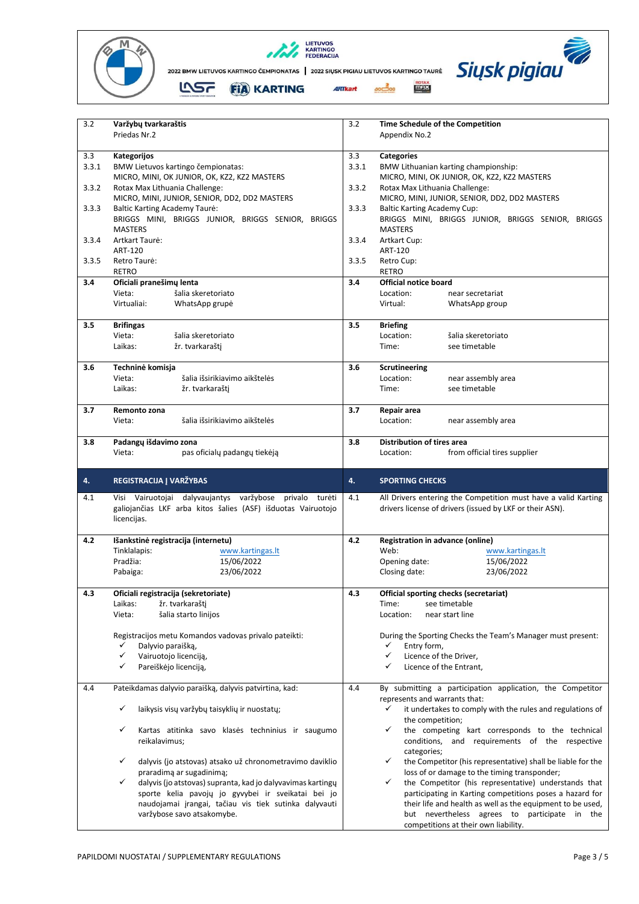





| 3.2   | Varžybų tvarkaraštis                                                                                        | 3.2   | Time Schedule of the Competition                                                                                       |
|-------|-------------------------------------------------------------------------------------------------------------|-------|------------------------------------------------------------------------------------------------------------------------|
|       | Priedas Nr.2                                                                                                |       | Appendix No.2                                                                                                          |
| 3.3   | Kategorijos                                                                                                 | 3.3   | <b>Categories</b>                                                                                                      |
| 3.3.1 | BMW Lietuvos kartingo čempionatas:                                                                          | 3.3.1 | BMW Lithuanian karting championship:                                                                                   |
|       | MICRO, MINI, OK JUNIOR, OK, KZ2, KZ2 MASTERS                                                                |       | MICRO, MINI, OK JUNIOR, OK, KZ2, KZ2 MASTERS                                                                           |
| 3.3.2 | Rotax Max Lithuania Challenge:                                                                              | 3.3.2 | Rotax Max Lithuania Challenge:                                                                                         |
|       | MICRO, MINI, JUNIOR, SENIOR, DD2, DD2 MASTERS                                                               |       | MICRO, MINI, JUNIOR, SENIOR, DD2, DD2 MASTERS                                                                          |
| 3.3.3 | <b>Baltic Karting Academy Taure:</b>                                                                        | 3.3.3 | <b>Baltic Karting Academy Cup:</b>                                                                                     |
|       | BRIGGS MINI, BRIGGS JUNIOR, BRIGGS SENIOR, BRIGGS<br><b>MASTERS</b>                                         |       | BRIGGS MINI, BRIGGS JUNIOR, BRIGGS SENIOR, BRIGGS<br><b>MASTERS</b>                                                    |
| 3.3.4 | Artkart Taurė:                                                                                              | 3.3.4 | Artkart Cup:                                                                                                           |
|       | ART-120                                                                                                     |       | ART-120                                                                                                                |
| 3.3.5 | Retro Taurė:                                                                                                | 3.3.5 | Retro Cup:                                                                                                             |
|       | RETRO                                                                                                       |       | <b>RETRO</b>                                                                                                           |
| 3.4   | Oficiali pranešimų lenta<br>Vieta:<br>šalia skeretoriato                                                    | 3.4   | <b>Official notice board</b><br>Location:<br>near secretariat                                                          |
|       | Virtualiai:<br>WhatsApp grupė                                                                               |       | Virtual:<br>WhatsApp group                                                                                             |
|       |                                                                                                             |       |                                                                                                                        |
| 3.5   | <b>Brifingas</b>                                                                                            | 3.5   | <b>Briefing</b>                                                                                                        |
|       | Vieta:<br>šalia skeretoriato                                                                                |       | Location:<br>šalia skeretoriato                                                                                        |
|       | Laikas:<br>žr. tvarkaraštį                                                                                  |       | Time:<br>see timetable                                                                                                 |
| 3.6   | Techninė komisja                                                                                            | 3.6   | Scrutineering                                                                                                          |
|       | šalia išsirikiavimo aikštelės<br>Vieta:                                                                     |       | Location:<br>near assembly area                                                                                        |
|       | Laikas:<br>žr. tvarkaraštį                                                                                  |       | Time:<br>see timetable                                                                                                 |
| 3.7   | Remonto zona                                                                                                | 3.7   | Repair area                                                                                                            |
|       | Vieta:<br>šalia išsirikiavimo aikštelės                                                                     |       | Location:<br>near assembly area                                                                                        |
|       |                                                                                                             |       |                                                                                                                        |
| 3.8   | Padangų išdavimo zona                                                                                       | 3.8   | <b>Distribution of tires area</b>                                                                                      |
|       | Vieta:<br>pas oficialų padangų tiekėją                                                                      |       | from official tires supplier<br>Location:                                                                              |
|       |                                                                                                             |       |                                                                                                                        |
|       | REGISTRACIJA J VARŽYBAS                                                                                     | 4.    |                                                                                                                        |
| 4.    |                                                                                                             |       | <b>SPORTING CHECKS</b>                                                                                                 |
| 4.1   | Visi Vairuotojai dalyvaujantys varžybose privalo turėti                                                     | 4.1   | All Drivers entering the Competition must have a valid Karting                                                         |
|       | galiojančias LKF arba kitos šalies (ASF) išduotas Vairuotojo                                                |       | drivers license of drivers (issued by LKF or their ASN).                                                               |
|       | licencijas.                                                                                                 |       |                                                                                                                        |
| 4.2   | Išankstinė registracija (internetu)                                                                         | 4.2   | Registration in advance (online)                                                                                       |
|       | Tinklalapis:<br>www.kartingas.lt                                                                            |       | Web:<br>www.kartingas.lt                                                                                               |
|       | Pradžia:<br>15/06/2022                                                                                      |       | 15/06/2022<br>Opening date:                                                                                            |
|       | 23/06/2022<br>Pabaiga:                                                                                      |       | 23/06/2022<br>Closing date:                                                                                            |
|       |                                                                                                             |       |                                                                                                                        |
| 4.3   | Oficiali registracija (sekretoriate)<br>Laikas:                                                             | 4.3   | Official sporting checks (secretariat)<br>Time:<br>see timetable                                                       |
|       | žr. tvarkaraštį<br>šalia starto linijos<br>Vieta:                                                           |       | Location:<br>near start line                                                                                           |
|       |                                                                                                             |       |                                                                                                                        |
|       | Registracijos metu Komandos vadovas privalo pateikti:                                                       |       | During the Sporting Checks the Team's Manager must present:                                                            |
|       | ✓<br>Dalyvio paraišką,                                                                                      |       | ✓<br>Entry form,                                                                                                       |
|       | ✓<br>Vairuotojo licenciją,<br>✓<br>Pareiškėjo licenciją,                                                    |       | ✓<br>Licence of the Driver,<br>✓<br>Licence of the Entrant,                                                            |
|       |                                                                                                             |       |                                                                                                                        |
| 4.4   | Pateikdamas dalyvio paraišką, dalyvis patvirtina, kad:                                                      | 4.4   | By submitting a participation application, the Competitor                                                              |
|       |                                                                                                             |       | represents and warrants that:                                                                                          |
|       | ✓<br>laikysis visų varžybų taisyklių ir nuostatų;                                                           |       | ✓<br>it undertakes to comply with the rules and regulations of                                                         |
|       | ✓<br>Kartas atitinka savo klasės techninius ir saugumo                                                      |       | the competition;<br>✓<br>the competing kart corresponds to the technical                                               |
|       | reikalavimus;                                                                                               |       | conditions, and requirements of the respective                                                                         |
|       |                                                                                                             |       | categories;                                                                                                            |
|       | dalyvis (jo atstovas) atsako už chronometravimo daviklio<br>✓                                               |       | the Competitor (his representative) shall be liable for the<br>✓                                                       |
|       | praradimą ar sugadinimą;<br>✓                                                                               |       | loss of or damage to the timing transponder;<br>$\checkmark$                                                           |
|       | dalyvis (jo atstovas) supranta, kad jo dalyvavimas kartingų                                                 |       | the Competitor (his representative) understands that                                                                   |
|       | sporte kelia pavojų jo gyvybei ir sveikatai bei jo<br>naudojamai įrangai, tačiau vis tiek sutinka dalyvauti |       | participating in Karting competitions poses a hazard for<br>their life and health as well as the equipment to be used, |
|       | varžybose savo atsakomybe.                                                                                  |       | but nevertheless agrees to participate in the                                                                          |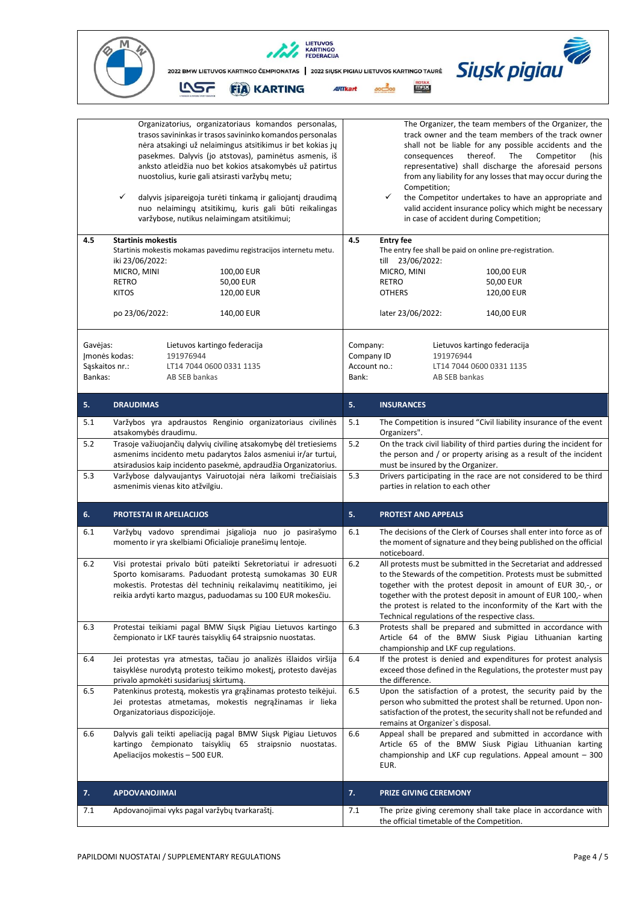

| 4.5<br>Gavejas:           | Organizatorius, organizatoriaus komandos personalas,<br>trasos savininkas ir trasos savininko komandos personalas<br>nėra atsakingi už nelaimingus atsitikimus ir bet kokias jų<br>pasekmes. Dalyvis (jo atstovas), paminėtus asmenis, iš<br>anksto atleidžia nuo bet kokios atsakomybės už patirtus<br>nuostolius, kurie gali atsirasti varžybų metu;<br>✓<br>dalyvis įsipareigoja turėti tinkamą ir galiojantį draudimą<br>nuo nelaimingų atsitikimų, kuris gali būti reikalingas<br>varžybose, nutikus nelaimingam atsitikimui;<br><b>Startinis mokestis</b><br>Startinis mokestis mokamas pavedimu registracijos internetu metu.<br>iki 23/06/2022:<br>MICRO, MINI<br>100,00 EUR<br><b>RETRO</b><br>50,00 EUR<br><b>KITOS</b><br>120,00 EUR<br>po 23/06/2022:<br>140,00 EUR<br>Lietuvos kartingo federacija | 4.5<br>Company:       | The Organizer, the team members of the Organizer, the<br>track owner and the team members of the track owner<br>shall not be liable for any possible accidents and the<br>thereof.<br>The<br>consequences<br>Competitor<br>(his<br>representative) shall discharge the aforesaid persons<br>from any liability for any losses that may occur during the<br>Competition;<br>✓<br>the Competitor undertakes to have an appropriate and<br>valid accident insurance policy which might be necessary<br>in case of accident during Competition;<br><b>Entry fee</b><br>The entry fee shall be paid on online pre-registration.<br>till 23/06/2022:<br>MICRO, MINI<br>100,00 EUR<br><b>RETRO</b><br>50,00 EUR<br><b>OTHERS</b><br>120,00 EUR<br>later 23/06/2022:<br>140,00 EUR<br>Lietuvos kartingo federacija |
|---------------------------|-----------------------------------------------------------------------------------------------------------------------------------------------------------------------------------------------------------------------------------------------------------------------------------------------------------------------------------------------------------------------------------------------------------------------------------------------------------------------------------------------------------------------------------------------------------------------------------------------------------------------------------------------------------------------------------------------------------------------------------------------------------------------------------------------------------------|-----------------------|------------------------------------------------------------------------------------------------------------------------------------------------------------------------------------------------------------------------------------------------------------------------------------------------------------------------------------------------------------------------------------------------------------------------------------------------------------------------------------------------------------------------------------------------------------------------------------------------------------------------------------------------------------------------------------------------------------------------------------------------------------------------------------------------------------|
|                           | 191976944<br>Jmonės kodas:                                                                                                                                                                                                                                                                                                                                                                                                                                                                                                                                                                                                                                                                                                                                                                                      | Company ID            | 191976944                                                                                                                                                                                                                                                                                                                                                                                                                                                                                                                                                                                                                                                                                                                                                                                                  |
| Sąskaitos nr.:<br>Bankas: | LT14 7044 0600 0331 1135<br>AB SEB bankas                                                                                                                                                                                                                                                                                                                                                                                                                                                                                                                                                                                                                                                                                                                                                                       | Account no.:<br>Bank: | LT14 7044 0600 0331 1135<br>AB SEB bankas                                                                                                                                                                                                                                                                                                                                                                                                                                                                                                                                                                                                                                                                                                                                                                  |
| 5.                        | <b>DRAUDIMAS</b>                                                                                                                                                                                                                                                                                                                                                                                                                                                                                                                                                                                                                                                                                                                                                                                                | 5.                    | <b>INSURANCES</b>                                                                                                                                                                                                                                                                                                                                                                                                                                                                                                                                                                                                                                                                                                                                                                                          |
| 5.1                       | Varžybos yra apdraustos Renginio organizatoriaus civilinės<br>atsakomybės draudimu.                                                                                                                                                                                                                                                                                                                                                                                                                                                                                                                                                                                                                                                                                                                             | 5.1                   | The Competition is insured "Civil liability insurance of the event<br>Organizers".                                                                                                                                                                                                                                                                                                                                                                                                                                                                                                                                                                                                                                                                                                                         |
| 5.2                       | Trasoje važiuojančių dalyvių civilinę atsakomybę dėl tretiesiems<br>asmenims incidento metu padarytos žalos asmeniui ir/ar turtui,<br>atsiradusios kaip incidento pasekmė, apdraudžia Organizatorius.                                                                                                                                                                                                                                                                                                                                                                                                                                                                                                                                                                                                           | 5.2                   | On the track civil liability of third parties during the incident for<br>the person and / or property arising as a result of the incident<br>must be insured by the Organizer.                                                                                                                                                                                                                                                                                                                                                                                                                                                                                                                                                                                                                             |
| 5.3                       | Varžybose dalyvaujantys Vairuotojai nėra laikomi trečiaisiais<br>asmenimis vienas kito atžvilgiu.                                                                                                                                                                                                                                                                                                                                                                                                                                                                                                                                                                                                                                                                                                               | 5.3                   | Drivers participating in the race are not considered to be third<br>parties in relation to each other                                                                                                                                                                                                                                                                                                                                                                                                                                                                                                                                                                                                                                                                                                      |
| 6.                        | <b>PROTESTAI IR APELIACIJOS</b>                                                                                                                                                                                                                                                                                                                                                                                                                                                                                                                                                                                                                                                                                                                                                                                 | 5.                    | <b>PROTEST AND APPEALS</b>                                                                                                                                                                                                                                                                                                                                                                                                                                                                                                                                                                                                                                                                                                                                                                                 |
| 6.1                       | Varžybų vadovo sprendimai įsigalioja nuo jo pasirašymo<br>momento ir yra skelbiami Oficialioje pranešimų lentoje.                                                                                                                                                                                                                                                                                                                                                                                                                                                                                                                                                                                                                                                                                               | 6.1                   | The decisions of the Clerk of Courses shall enter into force as of<br>the moment of signature and they being published on the official<br>noticeboard.                                                                                                                                                                                                                                                                                                                                                                                                                                                                                                                                                                                                                                                     |
| 6.2                       | Visi protestai privalo būti pateikti Sekretoriatui ir adresuoti<br>Sporto komisarams. Paduodant protestą sumokamas 30 EUR<br>mokestis. Protestas dėl techninių reikalavimų neatitikimo, jei<br>reikia ardyti karto mazgus, paduodamas su 100 EUR mokesčiu.                                                                                                                                                                                                                                                                                                                                                                                                                                                                                                                                                      | $6.2$                 | All protests must be submitted in the Secretariat and addressed<br>to the Stewards of the competition. Protests must be submitted<br>together with the protest deposit in amount of EUR 30,-, or<br>together with the protest deposit in amount of EUR 100,- when<br>the protest is related to the inconformity of the Kart with the<br>Technical regulations of the respective class.                                                                                                                                                                                                                                                                                                                                                                                                                     |
| 6.3                       | Protestai teikiami pagal BMW Siųsk Pigiau Lietuvos kartingo<br>čempionato ir LKF taurės taisyklių 64 straipsnio nuostatas.                                                                                                                                                                                                                                                                                                                                                                                                                                                                                                                                                                                                                                                                                      | 6.3                   | Protests shall be prepared and submitted in accordance with<br>Article 64 of the BMW Siusk Pigiau Lithuanian karting<br>championship and LKF cup regulations.                                                                                                                                                                                                                                                                                                                                                                                                                                                                                                                                                                                                                                              |
| 6.4                       | Jei protestas yra atmestas, tačiau jo analizės išlaidos viršija<br>taisyklėse nurodytą protesto teikimo mokestį, protesto davėjas<br>privalo apmokėti susidariusį skirtumą.                                                                                                                                                                                                                                                                                                                                                                                                                                                                                                                                                                                                                                     | 6.4                   | If the protest is denied and expenditures for protest analysis<br>exceed those defined in the Regulations, the protester must pay<br>the difference.                                                                                                                                                                                                                                                                                                                                                                                                                                                                                                                                                                                                                                                       |
| 6.5                       | Patenkinus protestą, mokestis yra grąžinamas protesto teikėjui.<br>Jei protestas atmetamas, mokestis negrąžinamas ir lieka<br>Organizatoriaus dispozicijoje.                                                                                                                                                                                                                                                                                                                                                                                                                                                                                                                                                                                                                                                    | 6.5                   | Upon the satisfaction of a protest, the security paid by the<br>person who submitted the protest shall be returned. Upon non-<br>satisfaction of the protest, the security shall not be refunded and<br>remains at Organizer's disposal.                                                                                                                                                                                                                                                                                                                                                                                                                                                                                                                                                                   |
| 6.6                       | Dalyvis gali teikti apeliaciją pagal BMW Siųsk Pigiau Lietuvos<br>kartingo čempionato taisyklių 65 straipsnio nuostatas.<br>Apeliacijos mokestis - 500 EUR.                                                                                                                                                                                                                                                                                                                                                                                                                                                                                                                                                                                                                                                     | 6.6                   | Appeal shall be prepared and submitted in accordance with<br>Article 65 of the BMW Siusk Pigiau Lithuanian karting<br>championship and LKF cup regulations. Appeal amount $-300$<br>EUR.                                                                                                                                                                                                                                                                                                                                                                                                                                                                                                                                                                                                                   |
| 7.                        | <b>APDOVANOJIMAI</b>                                                                                                                                                                                                                                                                                                                                                                                                                                                                                                                                                                                                                                                                                                                                                                                            | 7.                    | <b>PRIZE GIVING CEREMONY</b>                                                                                                                                                                                                                                                                                                                                                                                                                                                                                                                                                                                                                                                                                                                                                                               |
| 7.1                       | Apdovanojimai vyks pagal varžybų tvarkaraštį.                                                                                                                                                                                                                                                                                                                                                                                                                                                                                                                                                                                                                                                                                                                                                                   | 7.1                   | The prize giving ceremony shall take place in accordance with<br>the official timetable of the Competition.                                                                                                                                                                                                                                                                                                                                                                                                                                                                                                                                                                                                                                                                                                |